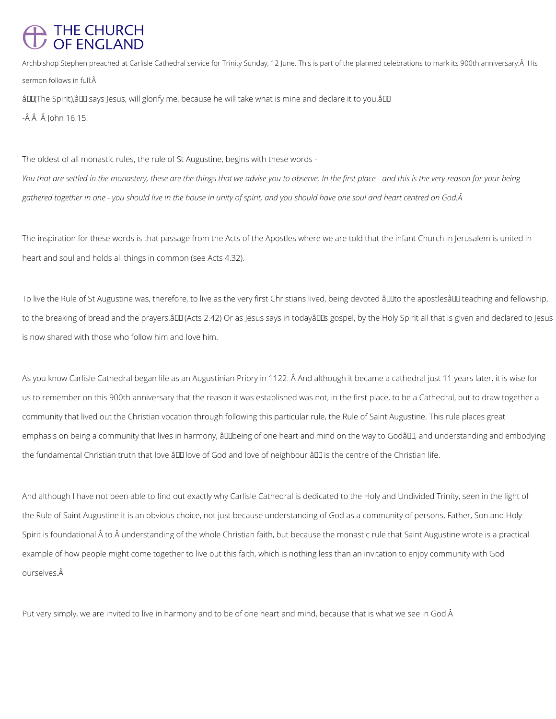## THE CHURCH<br>OF ENGLAND

Archbishop Stephen preached at Carlisle Cathedral service for Trinity Sunday, 12 June. This is part of the planned celebrations to mark its 900th anniversary. Â His sermon follows in full:Â

âDD(The Spirit), âDD says Jesus, will glorify me, because he will take what is mine and declare it to you. âDD

 $-\hat{A} \hat{A} \hat{A}$  john 16.15.

The oldest of all monastic rules, the rule of St Augustine, begins with these words -

*You that are settled in the monastery, these are the things that we advise you to observe. In the first place - and this is the very reason for your being gathered together in one - you should live in the house in unity of spirit, and you should have one soul and heart centred on God.* 

To live the Rule of St Augustine was, therefore, to live as the very first Christians lived, being devoted âll to the apostlesâ III teaching and fellowship, to the breaking of bread and the prayers.âDD (Acts 2.42) Or as Jesus says in todayâDDs gospel, by the Holy Spirit all that is given and declared to Jesus is now shared with those who follow him and love him.

As you know Carlisle Cathedral began life as an Augustinian Priory in 1122. Â And although it became a cathedral just 11 years later, it is wise for us to remember on this 900th anniversary that the reason it was established was not, in the first place, to be a Cathedral, but to draw together a community that lived out the Christian vocation through following this particular rule, the Rule of Saint Augustine. This rule places great emphasis on being a community that lives in harmony, âll Dbeing of one heart and mind on the way to Godâl L, and understanding and embodying the fundamental Christian truth that love â00 love of God and love of neighbour â00 is the centre of the Christian life.

The inspiration for these words is that passage from the Acts of the Apostles where we are told that the infant Church in Jerusalem is united in heart and soul and holds all things in common (see Acts 4.32).

And although I have not been able to find out exactly why Carlisle Cathedral is dedicated to the Holy and Undivided Trinity, seen in the light of the Rule of Saint Augustine it is an obvious choice, not just because understanding of God as a community of persons, Father, Son and Holy

Spirit is foundational to understanding of the whole Christian faith, but because the monastic rule that Saint Augustine wrote is a practical

example of how people might come together to live out this faith, which is nothing less than an invitation to enjoy community with God ourselves.

Put very simply, we are invited to live in harmony and to be of one heart and mind, because that is what we see in God.Â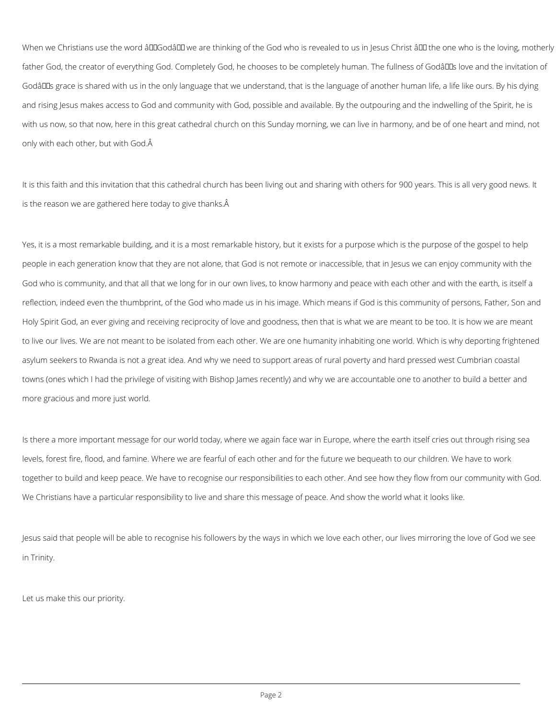When we Christians use the word âDDGodâDD we are thinking of the God who is revealed to us in Jesus Christ âDD the one who is the loving, motherly father God, the creator of everything God. Completely God, he chooses to be completely human. The fullness of Godâll Ls love and the invitation of Godâll as grace is shared with us in the only language that we understand, that is the language of another human life, a life like ours. By his dying and rising Jesus makes access to God and community with God, possible and available. By the outpouring and the indwelling of the Spirit, he is with us now, so that now, here in this great cathedral church on this Sunday morning, we can live in harmony, and be of one heart and mind, not only with each other, but with God.

It is this faith and this invitation that this cathedral church has been living out and sharing with others for 900 years. This is all very good news. It is the reason we are gathered here today to give thanks.

Yes, it is a most remarkable building, and it is a most remarkable history, but it exists for a purpose which is the purpose of the gospel to help people in each generation know that they are not alone, that God is not remote or inaccessible, that in Jesus we can enjoy community with the God who is community, and that all that we long for in our own lives, to know harmony and peace with each other and with the earth, is itself a reflection, indeed even the thumbprint, of the God who made us in his image. Which means if God is this community of persons, Father, Son and Holy Spirit God, an ever giving and receiving reciprocity of love and goodness, then that is what we are meant to be too. It is how we are meant to live our lives. We are not meant to be isolated from each other. We are one humanity inhabiting one world. Which is why deporting frightened asylum seekers to Rwanda is not a great idea. And why we need to support areas of rural poverty and hard pressed west Cumbrian coastal towns (ones which I had the privilege of visiting with Bishop James recently) and why we are accountable one to another to build a better and more gracious and more just world.

Is there a more important message for our world today, where we again face war in Europe, where the earth itself cries out through rising sea levels, forest fire, flood, and famine. Where we are fearful of each other and for the future we bequeath to our children. We have to work together to build and keep peace. We have to recognise our responsibilities to each other. And see how they flow from our community with God. We Christians have a particular responsibility to live and share this message of peace. And show the world what it looks like.

Jesus said that people will be able to recognise his followers by the ways in which we love each other, our lives mirroring the love of God we see

in Trinity.

Let us make this our priority.